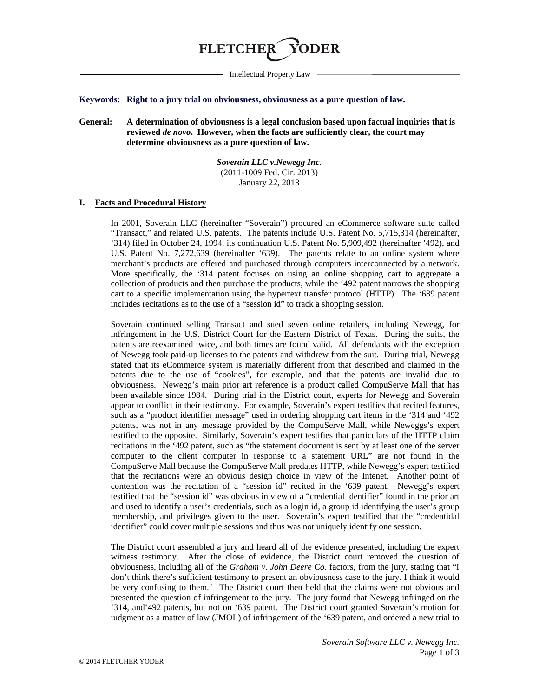

Intellectual Property Law

#### **Keywords: Right to a jury trial on obviousness, obviousness as a pure question of law.**

**General: A determination of obviousness is a legal conclusion based upon factual inquiries that is reviewed** *de novo***. However, when the facts are sufficiently clear, the court may determine obviousness as a pure question of law.**

> *Soverain LLC v.Newegg Inc.* (2011-1009 Fed. Cir. 2013) January 22, 2013

#### **I. Facts and Procedural History**

In 2001, Soverain LLC (hereinafter "Soverain") procured an eCommerce software suite called "Transact," and related U.S. patents. The patents include U.S. Patent No. 5,715,314 (hereinafter, '314) filed in October 24, 1994, its continuation U.S. Patent No. 5,909,492 (hereinafter '492), and U.S. Patent No. 7,272,639 (hereinafter '639). The patents relate to an online system where merchant's products are offered and purchased through computers interconnected by a network. More specifically, the '314 patent focuses on using an online shopping cart to aggregate a collection of products and then purchase the products, while the '492 patent narrows the shopping cart to a specific implementation using the hypertext transfer protocol (HTTP). The '639 patent includes recitations as to the use of a "session id" to track a shopping session.

Soverain continued selling Transact and sued seven online retailers, including Newegg, for infringement in the U.S. District Court for the Eastern District of Texas. During the suits, the patents are reexamined twice, and both times are found valid. All defendants with the exception of Newegg took paid-up licenses to the patents and withdrew from the suit. During trial, Newegg stated that its eCommerce system is materially different from that described and claimed in the patents due to the use of "cookies", for example, and that the patents are invalid due to obviousness. Newegg's main prior art reference is a product called CompuServe Mall that has been available since 1984. During trial in the District court, experts for Newegg and Soverain appear to conflict in their testimony. For example, Soverain's expert testifies that recited features, such as a "product identifier message" used in ordering shopping cart items in the '314 and '492 patents, was not in any message provided by the CompuServe Mall, while Neweggs's expert testified to the opposite. Similarly, Soverain's expert testifies that particulars of the HTTP claim recitations in the '492 patent, such as "the statement document is sent by at least one of the server computer to the client computer in response to a statement URL" are not found in the CompuServe Mall because the CompuServe Mall predates HTTP, while Newegg's expert testified that the recitations were an obvious design choice in view of the Intenet. Another point of contention was the recitation of a "session id" recited in the '639 patent. Newegg's expert testified that the "session id" was obvious in view of a "credential identifier" found in the prior art and used to identify a user's credentials, such as a login id, a group id identifying the user's group membership, and privileges given to the user. Soverain's expert testified that the "credentidal identifier" could cover multiple sessions and thus was not uniquely identify one session.

The District court assembled a jury and heard all of the evidence presented, including the expert witness testimony. After the close of evidence, the District court removed the question of obviousness, including all of the *Graham v. John Deere Co.* factors, from the jury, stating that "I don't think there's sufficient testimony to present an obviousness case to the jury. I think it would be very confusing to them." The District court then held that the claims were not obvious and presented the question of infringement to the jury. The jury found that Newegg infringed on the '314, and'492 patents, but not on '639 patent. The District court granted Soverain's motion for judgment as a matter of law (JMOL) of infringement of the '639 patent, and ordered a new trial to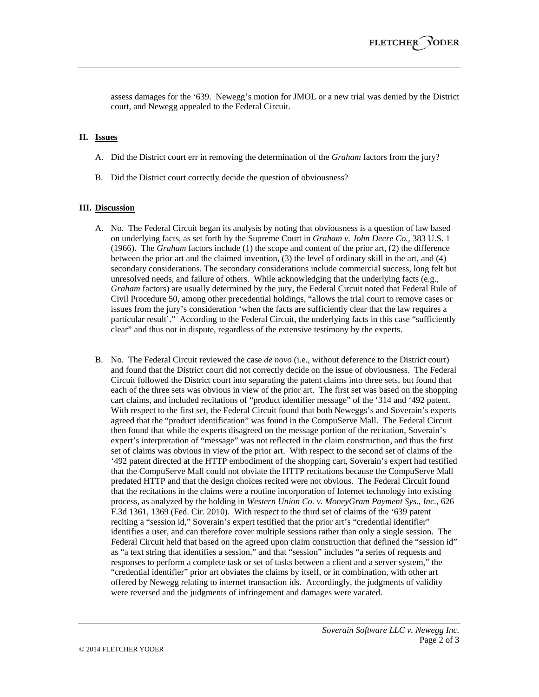assess damages for the '639. Newegg's motion for JMOL or a new trial was denied by the District court, and Newegg appealed to the Federal Circuit.

## **II. Issues**

- A. Did the District court err in removing the determination of the *Graham* factors from the jury?
- B. Did the District court correctly decide the question of obviousness?

## **III. Discussion**

- A. No. The Federal Circuit began its analysis by noting that obviousness is a question of law based on underlying facts, as set forth by the Supreme Court in *Graham v. John Deere Co.*, 383 U.S. 1 (1966). The *Graham* factors include (1) the scope and content of the prior art, (2) the difference between the prior art and the claimed invention, (3) the level of ordinary skill in the art, and (4) secondary considerations. The secondary considerations include commercial success, long felt but unresolved needs, and failure of others. While acknowledging that the underlying facts (e.g., *Graham* factors) are usually determined by the jury, the Federal Circuit noted that Federal Rule of Civil Procedure 50, among other precedential holdings, "allows the trial court to remove cases or issues from the jury's consideration 'when the facts are sufficiently clear that the law requires a particular result'." According to the Federal Circuit, the underlying facts in this case "sufficiently clear" and thus not in dispute, regardless of the extensive testimony by the experts.
- B. No. The Federal Circuit reviewed the case *de novo* (i.e., without deference to the District court) and found that the District court did not correctly decide on the issue of obviousness. The Federal Circuit followed the District court into separating the patent claims into three sets, but found that each of the three sets was obvious in view of the prior art. The first set was based on the shopping cart claims, and included recitations of "product identifier message" of the '314 and '492 patent. With respect to the first set, the Federal Circuit found that both Neweggs's and Soverain's experts agreed that the "product identification" was found in the CompuServe Mall. The Federal Circuit then found that while the experts disagreed on the message portion of the recitation, Soverain's expert's interpretation of "message" was not reflected in the claim construction, and thus the first set of claims was obvious in view of the prior art. With respect to the second set of claims of the '492 patent directed at the HTTP embodiment of the shopping cart, Soverain's expert had testified that the CompuServe Mall could not obviate the HTTP recitations because the CompuServe Mall predated HTTP and that the design choices recited were not obvious. The Federal Circuit found that the recitations in the claims were a routine incorporation of Internet technology into existing process, as analyzed by the holding in *Western Union Co. v. MoneyGram Payment Sys., Inc.*, 626 F.3d 1361, 1369 (Fed. Cir. 2010). With respect to the third set of claims of the '639 patent reciting a "session id," Soverain's expert testified that the prior art's "credential identifier" identifies a user, and can therefore cover multiple sessions rather than only a single session. The Federal Circuit held that based on the agreed upon claim construction that defined the "session id" as "a text string that identifies a session," and that "session" includes "a series of requests and responses to perform a complete task or set of tasks between a client and a server system," the "credential identifier" prior art obviates the claims by itself, or in combination, with other art offered by Newegg relating to internet transaction ids. Accordingly, the judgments of validity were reversed and the judgments of infringement and damages were vacated.